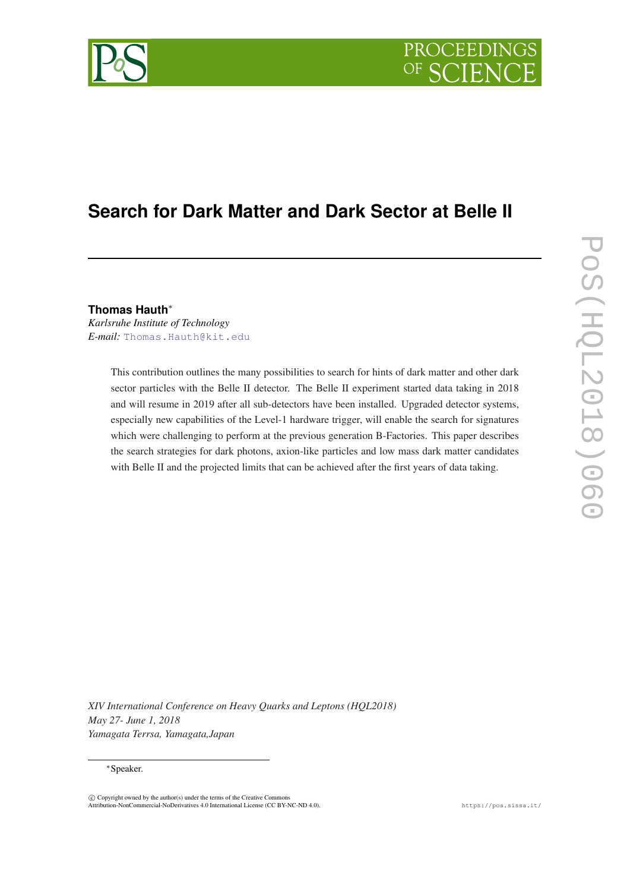

# **Search for Dark Matter and Dark Sector at Belle II**

**Thomas Hauth**<sup>∗</sup>

*Karlsruhe Institute of Technology E-mail:* [Thomas.Hauth@kit.edu](mailto:Thomas.Hauth@kit.edu)

> This contribution outlines the many possibilities to search for hints of dark matter and other dark sector particles with the Belle II detector. The Belle II experiment started data taking in 2018 and will resume in 2019 after all sub-detectors have been installed. Upgraded detector systems, especially new capabilities of the Level-1 hardware trigger, will enable the search for signatures which were challenging to perform at the previous generation B-Factories. This paper describes the search strategies for dark photons, axion-like particles and low mass dark matter candidates with Belle II and the projected limits that can be achieved after the first years of data taking.

*XIV International Conference on Heavy Quarks and Leptons (HQL2018) May 27- June 1, 2018 Yamagata Terrsa, Yamagata,Japan*

#### <sup>∗</sup>Speaker.

 $\overline{c}$  Copyright owned by the author(s) under the terms of the Creative Common Attribution-NonCommercial-NoDerivatives 4.0 International License (CC BY-NC-ND 4.0). https://pos.sissa.it/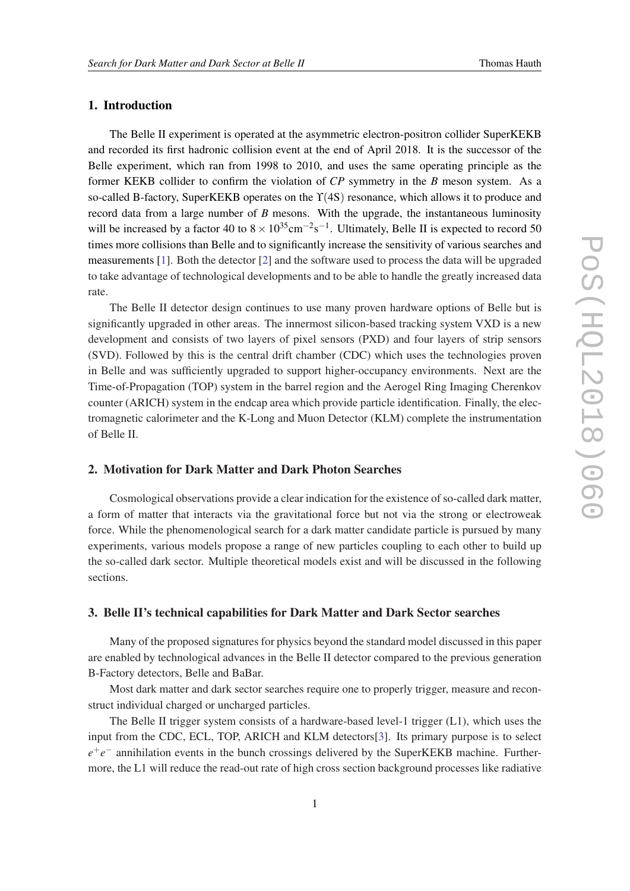# 1. Introduction

The Belle II experiment is operated at the asymmetric electron-positron collider SuperKEKB and recorded its first hadronic collision event at the end of April 2018. It is the successor of the Belle experiment, which ran from 1998 to 2010, and uses the same operating principle as the former KEKB collider to confirm the violation of *CP* symmetry in the *B* meson system. As a so-called B-factory, SuperKEKB operates on the ϒ(4S) resonance, which allows it to produce and record data from a large number of *B* mesons. With the upgrade, the instantaneous luminosity will be increased by a factor 40 to  $8 \times 10^{35}$ cm<sup>-2</sup>s<sup>-1</sup>. Ultimately, Belle II is expected to record 50 times more collisions than Belle and to significantly increase the sensitivity of various searches and measurements [[1](#page-5-0)]. Both the detector [[2](#page-5-0)] and the software used to process the data will be upgraded to take advantage of technological developments and to be able to handle the greatly increased data rate.

The Belle II detector design continues to use many proven hardware options of Belle but is significantly upgraded in other areas. The innermost silicon-based tracking system VXD is a new development and consists of two layers of pixel sensors (PXD) and four layers of strip sensors (SVD). Followed by this is the central drift chamber (CDC) which uses the technologies proven in Belle and was sufficiently upgraded to support higher-occupancy environments. Next are the Time-of-Propagation (TOP) system in the barrel region and the Aerogel Ring Imaging Cherenkov counter (ARICH) system in the endcap area which provide particle identification. Finally, the electromagnetic calorimeter and the K-Long and Muon Detector (KLM) complete the instrumentation of Belle II.

# 2. Motivation for Dark Matter and Dark Photon Searches

Cosmological observations provide a clear indication for the existence of so-called dark matter, a form of matter that interacts via the gravitational force but not via the strong or electroweak force. While the phenomenological search for a dark matter candidate particle is pursued by many experiments, various models propose a range of new particles coupling to each other to build up the so-called dark sector. Multiple theoretical models exist and will be discussed in the following sections.

# 3. Belle II's technical capabilities for Dark Matter and Dark Sector searches

Many of the proposed signatures for physics beyond the standard model discussed in this paper are enabled by technological advances in the Belle II detector compared to the previous generation B-Factory detectors, Belle and BaBar.

Most dark matter and dark sector searches require one to properly trigger, measure and reconstruct individual charged or uncharged particles.

The Belle II trigger system consists of a hardware-based level-1 trigger (L1), which uses the input from the CDC, ECL, TOP, ARICH and KLM detectors[[3](#page-5-0)]. Its primary purpose is to select *e*<sup>+</sup>*e*<sup>−</sup> annihilation events in the bunch crossings delivered by the SuperKEKB machine. Furthermore, the L1 will reduce the read-out rate of high cross section background processes like radiative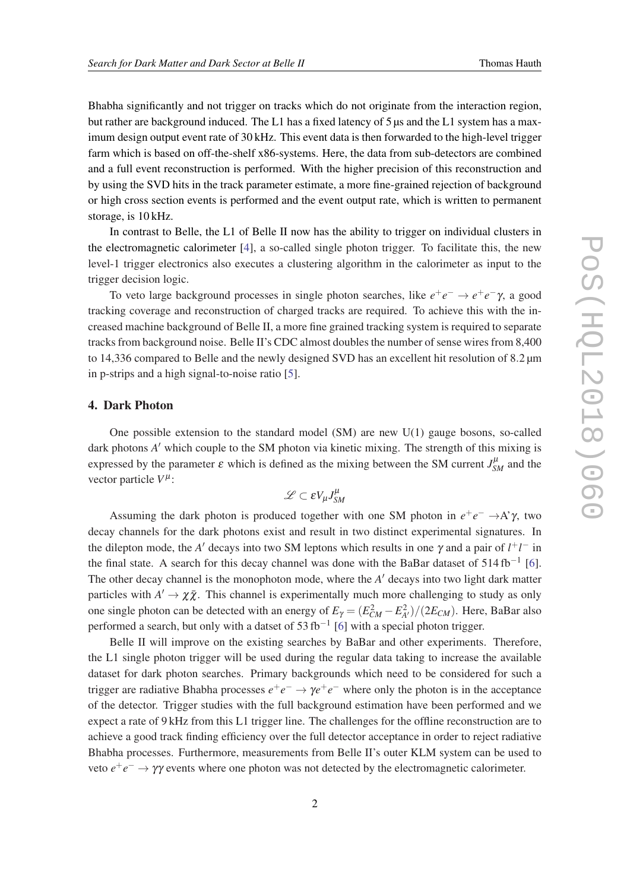Bhabha significantly and not trigger on tracks which do not originate from the interaction region, but rather are background induced. The L1 has a fixed latency of 5  $\mu$ s and the L1 system has a maximum design output event rate of 30 kHz. This event data is then forwarded to the high-level trigger farm which is based on off-the-shelf x86-systems. Here, the data from sub-detectors are combined and a full event reconstruction is performed. With the higher precision of this reconstruction and by using the SVD hits in the track parameter estimate, a more fine-grained rejection of background or high cross section events is performed and the event output rate, which is written to permanent storage, is 10 kHz.

In contrast to Belle, the L1 of Belle II now has the ability to trigger on individual clusters in the electromagnetic calorimeter [\[4\]](#page-5-0), a so-called single photon trigger. To facilitate this, the new level-1 trigger electronics also executes a clustering algorithm in the calorimeter as input to the trigger decision logic.

To veto large background processes in single photon searches, like  $e^+e^-$  →  $e^+e^-$ γ, a good tracking coverage and reconstruction of charged tracks are required. To achieve this with the increased machine background of Belle II, a more fine grained tracking system is required to separate tracks from background noise. Belle II's CDC almost doubles the number of sense wires from 8,400 to 14,336 compared to Belle and the newly designed SVD has an excellent hit resolution of 8.2  $\mu$ m in p-strips and a high signal-to-noise ratio [\[5\]](#page-5-0).

# 4. Dark Photon

One possible extension to the standard model (SM) are new U(1) gauge bosons, so-called dark photons *A'* which couple to the SM photon via kinetic mixing. The strength of this mixing is expressed by the parameter  $\varepsilon$  which is defined as the mixing between the SM current  $J_{SM}^{\mu}$  and the vector particle  $V^{\mu}$ :

$$
\mathscr{L} \subset \varepsilon V_\mu J^\mu_{SM}
$$

Assuming the dark photon is produced together with one SM photon in  $e^+e^- \rightarrow A^{\gamma}$ , two decay channels for the dark photons exist and result in two distinct experimental signatures. In the dilepton mode, the *A'* decays into two SM leptons which results in one  $\gamma$  and a pair of  $l^+l^-$  in the final state. A search for this decay channel was done with the BaBar dataset of  $514 \text{ fb}^{-1}$  [\[6\]](#page-5-0). The other decay channel is the monophoton mode, where the *A'* decays into two light dark matter particles with  $A' \to \chi \bar{\chi}$ . This channel is experimentally much more challenging to study as only one single photon can be detected with an energy of  $E_\gamma = (E_{CM}^2 - E_{A'}^2)/(2E_{CM})$ . Here, BaBar also performed a search, but only with a datset of 53 fb<sup>-1</sup> [\[6\]](#page-5-0) with a special photon trigger.

Belle II will improve on the existing searches by BaBar and other experiments. Therefore, the L1 single photon trigger will be used during the regular data taking to increase the available dataset for dark photon searches. Primary backgrounds which need to be considered for such a trigger are radiative Bhabha processes  $e^+e^- \to \gamma e^+e^-$  where only the photon is in the acceptance of the detector. Trigger studies with the full background estimation have been performed and we expect a rate of 9 kHz from this L1 trigger line. The challenges for the offline reconstruction are to achieve a good track finding efficiency over the full detector acceptance in order to reject radiative Bhabha processes. Furthermore, measurements from Belle II's outer KLM system can be used to veto  $e^+e^- \rightarrow \gamma \gamma$  events where one photon was not detected by the electromagnetic calorimeter.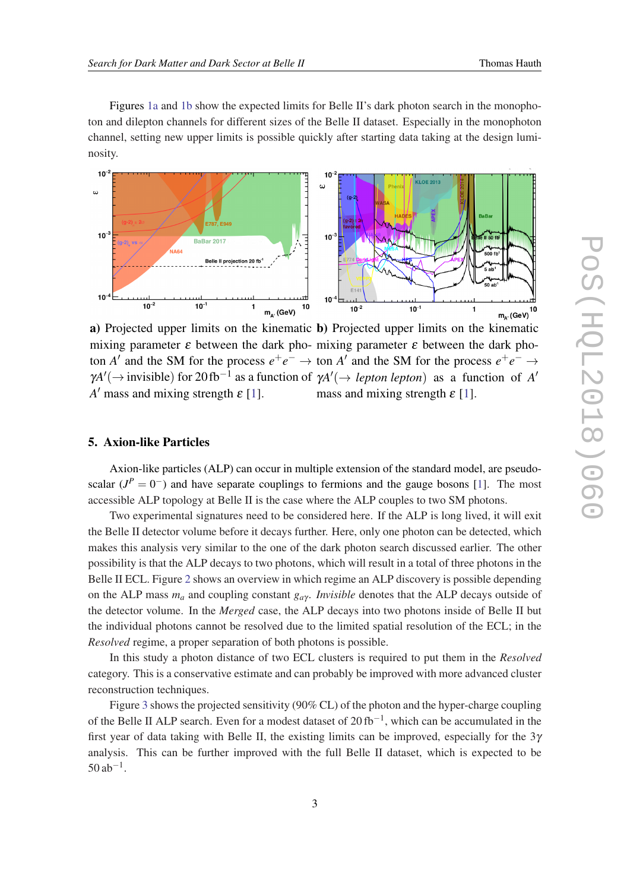Figures 1a and 1b show the expected limits for Belle II's dark photon search in the monophoton and dilepton channels for different sizes of the Belle II dataset. Especially in the monophoton channel, setting new upper limits is possible quickly after starting data taking at the design luminosity.



a) Projected upper limits on the kinematic **b**) Projected upper limits on the kinematic mixing parameter  $\varepsilon$  between the dark pho- mixing parameter  $\varepsilon$  between the dark photon *A'* and the SM for the process  $e^+e^- \to$  ton *A'* and the SM for the process  $e^+e^- \to$  $\gamma A'$ ( $\rightarrow$  invisible) for 20 fb<sup>-1</sup> as a function of  $\gamma A'$ ( $\rightarrow$  *lepton lepton*) as a function of A' *A*<sup> $\prime$ </sup> mass and mixing strength  $\varepsilon$  [[1\]](#page-5-0). mass and mixing strength  $\varepsilon$  [[1\]](#page-5-0).

#### 5. Axion-like Particles

Axion-like particles (ALP) can occur in multiple extension of the standard model, are pseudoscalar  $(J^P = 0^-)$  and have separate couplings to fermions and the gauge bosons [\[1\]](#page-5-0). The most accessible ALP topology at Belle II is the case where the ALP couples to two SM photons.

Two experimental signatures need to be considered here. If the ALP is long lived, it will exit the Belle II detector volume before it decays further. Here, only one photon can be detected, which makes this analysis very similar to the one of the dark photon search discussed earlier. The other possibility is that the ALP decays to two photons, which will result in a total of three photons in the Belle II ECL. Figure [2](#page-4-0) shows an overview in which regime an ALP discovery is possible depending on the ALP mass  $m_a$  and coupling constant  $g_{a\gamma}$ . *Invisible* denotes that the ALP decays outside of the detector volume. In the *Merged* case, the ALP decays into two photons inside of Belle II but the individual photons cannot be resolved due to the limited spatial resolution of the ECL; in the *Resolved* regime, a proper separation of both photons is possible.

In this study a photon distance of two ECL clusters is required to put them in the *Resolved* category. This is a conservative estimate and can probably be improved with more advanced cluster reconstruction techniques.

Figure [3](#page-4-0) shows the projected sensitivity (90% CL) of the photon and the hyper-charge coupling of the Belle II ALP search. Even for a modest dataset of  $20 \text{ fb}^{-1}$ , which can be accumulated in the first year of data taking with Belle II, the existing limits can be improved, especially for the  $3\gamma$ analysis. This can be further improved with the full Belle II dataset, which is expected to be  $50$  ab<sup>-1</sup>.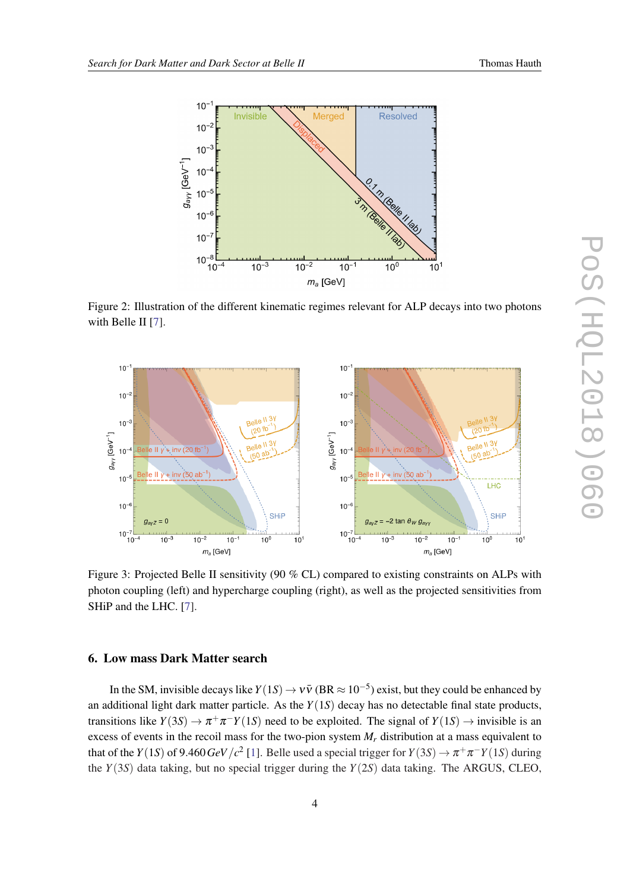<span id="page-4-0"></span>

Figure 2: Illustration of the different kinematic regimes relevant for ALP decays into two photons with Belle II [[7](#page-5-0)].



Figure 3: Projected Belle II sensitivity (90 % CL) compared to existing constraints on ALPs with photon coupling (left) and hypercharge coupling (right), as well as the projected sensitivities from SHiP and the LHC. [[7](#page-5-0)].

# 6. Low mass Dark Matter search

In the SM, invisible decays like  $Y(1S) \to V\bar{V}$  (BR  $\approx 10^{-5}$ ) exist, but they could be enhanced by an additional light dark matter particle. As the *Y*(1*S*) decay has no detectable final state products, transitions like  $Y(3S) \to \pi^+\pi^- Y(1S)$  need to be exploited. The signal of  $Y(1S) \to$  invisible is an excess of events in the recoil mass for the two-pion system  $M_r$  distribution at a mass equivalent to that of the *Y*([1](#page-5-0)*S*) of 9.460*GeV*/*c*<sup>2</sup> [1]. Belle used a special trigger for *Y*(3*S*)  $\rightarrow \pi^+\pi^-$ *Y*(1*S*) during the  $Y(3S)$  data taking, but no special trigger during the  $Y(2S)$  data taking. The ARGUS, CLEO,